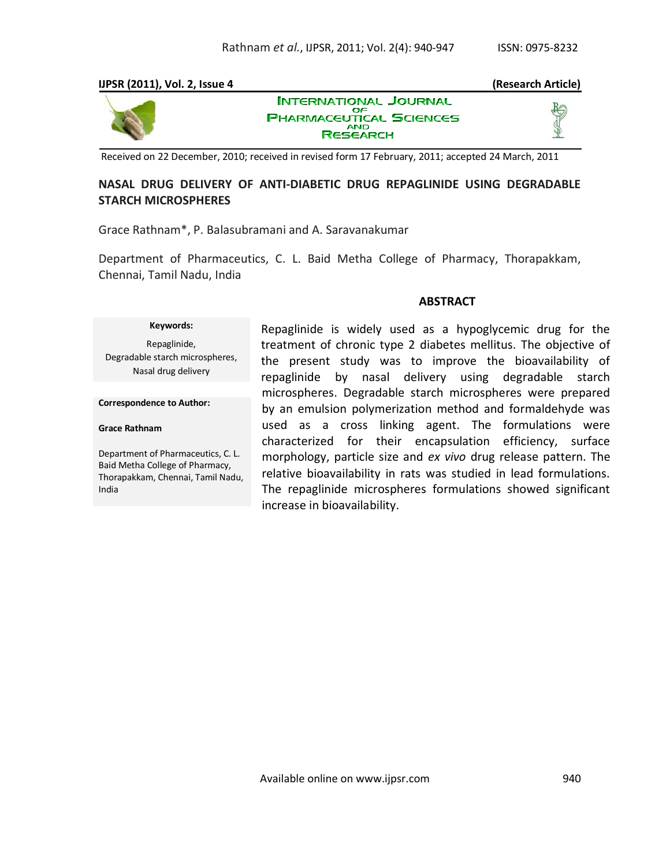#### **IJPSR (2011), Vol. 2, Issue 4 (Research Article) INTERNATIONAL JOURNAL** OΕ **PHARMACEUTICAL SCIENCES AND RESEARCH**

Received on 22 December, 2010; received in revised form 17 February, 2011; accepted 24 March, 2011

# **NASAL DRUG DELIVERY OF ANTI-DIABETIC DRUG REPAGLINIDE USING DEGRADABLE STARCH MICROSPHERES**

Grace Rathnam\*, P. Balasubramani and A. Saravanakumar

Department of Pharmaceutics, C. L. Baid Metha College of Pharmacy, Thorapakkam, Chennai, Tamil Nadu, India

## **ABSTRACT**

# **Keywords:**

Repaglinide, Degradable starch microspheres, Nasal drug delivery

#### **Correspondence to Author:**

#### **Grace Rathnam**

Department of Pharmaceutics, C. L. Baid Metha College of Pharmacy, Thorapakkam, Chennai, Tamil Nadu, India

Repaglinide is widely used as a hypoglycemic drug for the treatment of chronic type 2 diabetes mellitus. The objective of the present study was to improve the bioavailability of repaglinide by nasal delivery using degradable starch microspheres. Degradable starch microspheres were prepared by an emulsion polymerization method and formaldehyde was used as a cross linking agent. The formulations were characterized for their encapsulation efficiency, surface morphology, particle size and *ex vivo* drug release pattern. The relative bioavailability in rats was studied in lead formulations. The repaglinide microspheres formulations showed significant increase in bioavailability.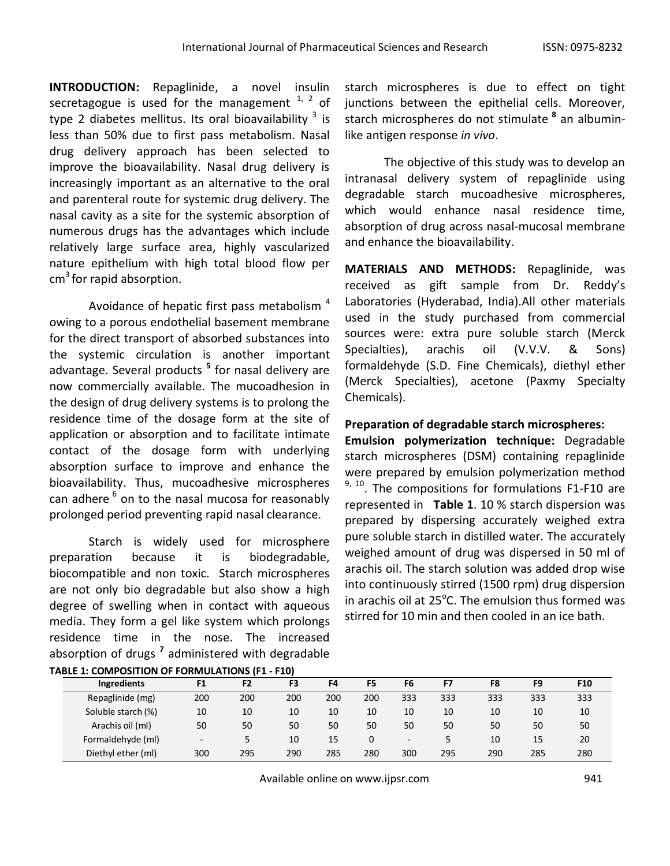**INTRODUCTION:** Repaglinide, a novel insulin secretagogue is used for the management  $1/2$  of type 2 diabetes mellitus. Its oral bioavailability  $^3$  is less than 50% due to first pass metabolism. Nasal drug delivery approach has been selected to improve the bioavailability. Nasal drug delivery is increasingly important as an alternative to the oral and parenteral route for systemic drug delivery. The nasal cavity as a site for the systemic absorption of numerous drugs has the advantages which include relatively large surface area, highly vascularized nature epithelium with high total blood flow per cm<sup>3</sup> for rapid absorption.

Avoidance of hepatic first pass metabolism<sup>4</sup> owing to a porous endothelial basement membrane for the direct transport of absorbed substances into the systemic circulation is another important advantage. Several products **<sup>5</sup>** for nasal delivery are now commercially available. The mucoadhesion in the design of drug delivery systems is to prolong the residence time of the dosage form at the site of application or absorption and to facilitate intimate contact of the dosage form with underlying absorption surface to improve and enhance the bioavailability. Thus, mucoadhesive microspheres can adhere  $^6$  on to the nasal mucosa for reasonably prolonged period preventing rapid nasal clearance.

Starch is widely used for microsphere preparation because it is biodegradable, biocompatible and non toxic. Starch microspheres are not only bio degradable but also show a high degree of swelling when in contact with aqueous media. They form a gel like system which prolongs residence time in the nose. The increased absorption of drugs<sup>7</sup> administered with degradable **TABLE 1: COMPOSITION OF FORMULATIONS (F1 - F10)**

starch microspheres is due to effect on tight junctions between the epithelial cells. Moreover, starch microspheres do not stimulate **<sup>8</sup>** an albuminlike antigen response *in vivo*.

The objective of this study was to develop an intranasal delivery system of repaglinide using degradable starch mucoadhesive microspheres, which would enhance nasal residence time, absorption of drug across nasal-mucosal membrane and enhance the bioavailability.

**MATERIALS AND METHODS:** Repaglinide, was received as gift sample from Dr. Reddy's Laboratories (Hyderabad, India).All other materials used in the study purchased from commercial sources were: extra pure soluble starch (Merck Specialties), arachis oil (V.V.V. & Sons) formaldehyde (S.D. Fine Chemicals), diethyl ether (Merck Specialties), acetone (Paxmy Specialty Chemicals).

## **Preparation of degradable starch microspheres:**

**Emulsion polymerization technique:** Degradable starch microspheres (DSM) containing repaglinide were prepared by emulsion polymerization method  $9, 10$ . The compositions for formulations F1-F10 are represented in **Table 1**. 10 % starch dispersion was prepared by dispersing accurately weighed extra pure soluble starch in distilled water. The accurately weighed amount of drug was dispersed in 50 ml of arachis oil. The starch solution was added drop wise into continuously stirred (1500 rpm) drug dispersion in arachis oil at  $25^{\circ}$ C. The emulsion thus formed was stirred for 10 min and then cooled in an ice bath.

| Ingredients        | F <sub>1</sub>           | F <sub>2</sub> | F3  | F4  | F5  | F <sub>6</sub>           | F7  | F8  | F <sub>9</sub> | F10 |
|--------------------|--------------------------|----------------|-----|-----|-----|--------------------------|-----|-----|----------------|-----|
| Repaglinide (mg)   | 200                      | 200            | 200 | 200 | 200 | 333                      | 333 | 333 | 333            | 333 |
| Soluble starch (%) | 10                       | 10             | 10  | 10  | 10  | 10                       | 10  | 10  | 10             | 10  |
| Arachis oil (ml)   | 50                       | 50             | 50  | 50  | 50  | 50                       | 50  | 50  | 50             | 50  |
| Formaldehyde (ml)  | $\overline{\phantom{a}}$ |                | 10  | 15  | 0   | $\overline{\phantom{a}}$ |     | 10  | 15             | 20  |
| Diethyl ether (ml) | 300                      | 295            | 290 | 285 | 280 | 300                      | 295 | 290 | 285            | 280 |

Available online on www.ijpsr.com 941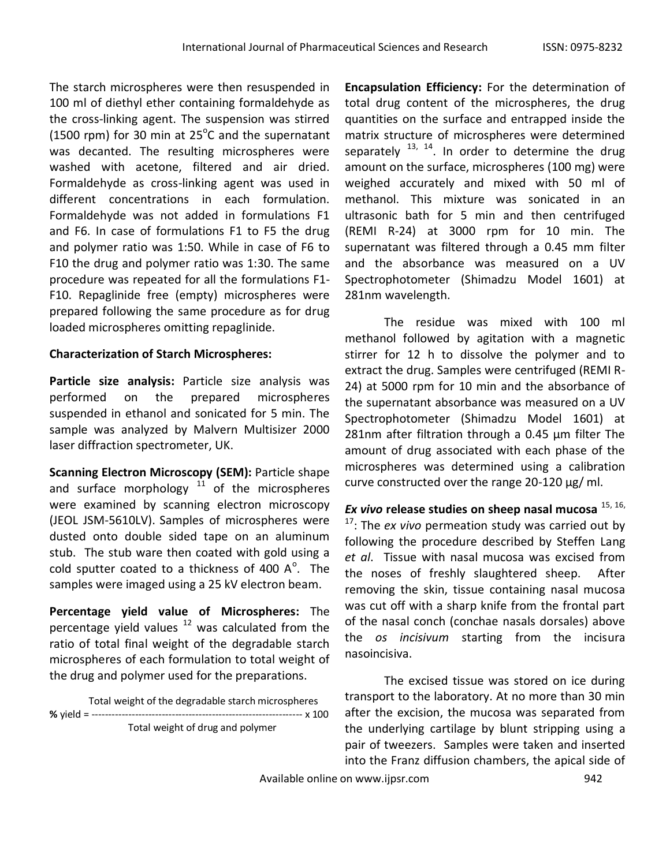The starch microspheres were then resuspended in 100 ml of diethyl ether containing formaldehyde as the cross-linking agent. The suspension was stirred (1500 rpm) for 30 min at  $25^{\circ}$ C and the supernatant was decanted. The resulting microspheres were washed with acetone, filtered and air dried. Formaldehyde as cross-linking agent was used in different concentrations in each formulation. Formaldehyde was not added in formulations F1 and F6. In case of formulations F1 to F5 the drug and polymer ratio was 1:50. While in case of F6 to F10 the drug and polymer ratio was 1:30. The same procedure was repeated for all the formulations F1- F10. Repaglinide free (empty) microspheres were prepared following the same procedure as for drug loaded microspheres omitting repaglinide.

## **Characterization of Starch Microspheres:**

**Particle size analysis:** Particle size analysis was performed on the prepared microspheres suspended in ethanol and sonicated for 5 min. The sample was analyzed by Malvern Multisizer 2000 laser diffraction spectrometer, UK.

**Scanning Electron Microscopy (SEM):** Particle shape and surface morphology  $11$  of the microspheres were examined by scanning electron microscopy (JEOL JSM-5610LV). Samples of microspheres were dusted onto double sided tape on an aluminum stub. The stub ware then coated with gold using a cold sputter coated to a thickness of 400  $A^{\circ}$ . The samples were imaged using a 25 kV electron beam.

**Percentage yield value of Microspheres:** The percentage yield values  $12$  was calculated from the ratio of total final weight of the degradable starch microspheres of each formulation to total weight of the drug and polymer used for the preparations.

Total weight of the degradable starch microspheres **%** yield = --------------------------------------------------------------- x 100 Total weight of drug and polymer

**Encapsulation Efficiency:** For the determination of total drug content of the microspheres, the drug quantities on the surface and entrapped inside the matrix structure of microspheres were determined separately  $^{13, 14}$ . In order to determine the drug amount on the surface, microspheres (100 mg) were weighed accurately and mixed with 50 ml of methanol. This mixture was sonicated in an ultrasonic bath for 5 min and then centrifuged (REMI R-24) at 3000 rpm for 10 min. The supernatant was filtered through a 0.45 mm filter and the absorbance was measured on a UV Spectrophotometer (Shimadzu Model 1601) at 281nm wavelength.

The residue was mixed with 100 ml methanol followed by agitation with a magnetic stirrer for 12 h to dissolve the polymer and to extract the drug. Samples were centrifuged (REMI R-24) at 5000 rpm for 10 min and the absorbance of the supernatant absorbance was measured on a UV Spectrophotometer (Shimadzu Model 1601) at 281nm after filtration through a 0.45 µm filter The amount of drug associated with each phase of the microspheres was determined using a calibration curve constructed over the range 20-120 µg/ ml.

*Ex vivo* **release studies on sheep nasal mucosa** 15, 16, <sup>17</sup>: The *ex vivo* permeation study was carried out by following the procedure described by Steffen Lang *et al*. Tissue with nasal mucosa was excised from the noses of freshly slaughtered sheep. After removing the skin, tissue containing nasal mucosa was cut off with a sharp knife from the frontal part of the nasal conch (conchae nasals dorsales) above the *os incisivum* starting from the incisura nasoincisiva.

The excised tissue was stored on ice during transport to the laboratory. At no more than 30 min after the excision, the mucosa was separated from the underlying cartilage by blunt stripping using a pair of tweezers. Samples were taken and inserted into the Franz diffusion chambers, the apical side of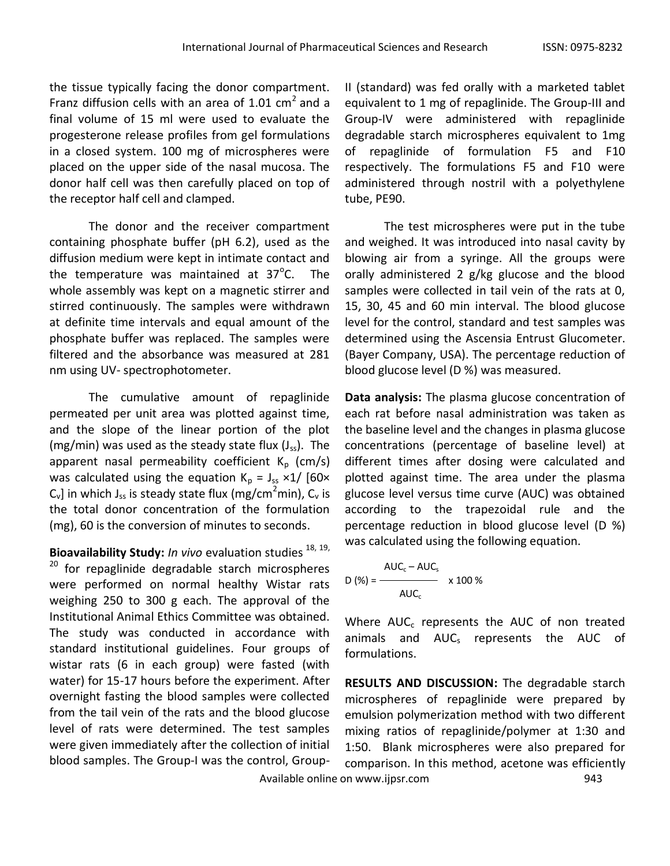the tissue typically facing the donor compartment. Franz diffusion cells with an area of 1.01  $\text{cm}^2$  and a final volume of 15 ml were used to evaluate the progesterone release profiles from gel formulations in a closed system. 100 mg of microspheres were placed on the upper side of the nasal mucosa. The donor half cell was then carefully placed on top of the receptor half cell and clamped.

The donor and the receiver compartment containing phosphate buffer (pH 6.2), used as the diffusion medium were kept in intimate contact and the temperature was maintained at  $37^{\circ}$ C. **The** whole assembly was kept on a magnetic stirrer and stirred continuously. The samples were withdrawn at definite time intervals and equal amount of the phosphate buffer was replaced. The samples were filtered and the absorbance was measured at 281 nm using UV- spectrophotometer.

The cumulative amount of repaglinide permeated per unit area was plotted against time, and the slope of the linear portion of the plot (mg/min) was used as the steady state flux  $(J_{ss})$ . The apparent nasal permeability coefficient  $K_p$  (cm/s) was calculated using the equation  $K_p = J_{ss} \times 1/$  [60×  $C_v$ ] in which J<sub>ss</sub> is steady state flux (mg/cm<sup>2</sup>min),  $C_v$  is the total donor concentration of the formulation (mg), 60 is the conversion of minutes to seconds.

Bioavailability Study: *In vivo* evaluation studies<sup>18, 19,</sup> <sup>20</sup> for repaglinide degradable starch microspheres were performed on normal healthy Wistar rats weighing 250 to 300 g each. The approval of the Institutional Animal Ethics Committee was obtained. The study was conducted in accordance with standard institutional guidelines. Four groups of wistar rats (6 in each group) were fasted (with water) for 15-17 hours before the experiment. After overnight fasting the blood samples were collected from the tail vein of the rats and the blood glucose level of rats were determined. The test samples were given immediately after the collection of initial blood samples. The Group-I was the control, Group-

II (standard) was fed orally with a marketed tablet equivalent to 1 mg of repaglinide. The Group-III and Group-IV were administered with repaglinide degradable starch microspheres equivalent to 1mg of repaglinide of formulation F5 and F10 respectively. The formulations F5 and F10 were administered through nostril with a polyethylene tube, PE90.

The test microspheres were put in the tube and weighed. It was introduced into nasal cavity by blowing air from a syringe. All the groups were orally administered 2 g/kg glucose and the blood samples were collected in tail vein of the rats at 0, 15, 30, 45 and 60 min interval. The blood glucose level for the control, standard and test samples was determined using the Ascensia Entrust Glucometer. (Bayer Company, USA). The percentage reduction of blood glucose level (D %) was measured.

**Data analysis:** The plasma glucose concentration of each rat before nasal administration was taken as the baseline level and the changes in plasma glucose concentrations (percentage of baseline level) at different times after dosing were calculated and plotted against time. The area under the plasma glucose level versus time curve (AUC) was obtained according to the trapezoidal rule and the percentage reduction in blood glucose level (D %) was calculated using the following equation.

$$
D(\%) = \frac{AUC_c - AUC_s}{AUC_c} \times 100\%
$$

Where  $AUC_c$  represents the AUC of non treated animals and AUC<sub>s</sub> represents the AUC of formulations.

**RESULTS AND DISCUSSION:** The degradable starch microspheres of repaglinide were prepared by emulsion polymerization method with two different mixing ratios of repaglinide/polymer at 1:30 and 1:50. Blank microspheres were also prepared for comparison. In this method, acetone was efficiently

Available online on www.ijpsr.com example on the set of the set of the set of the set of the set of the set of the set of the set of the set of the set of the set of the set of the set of the set of the set of the set of t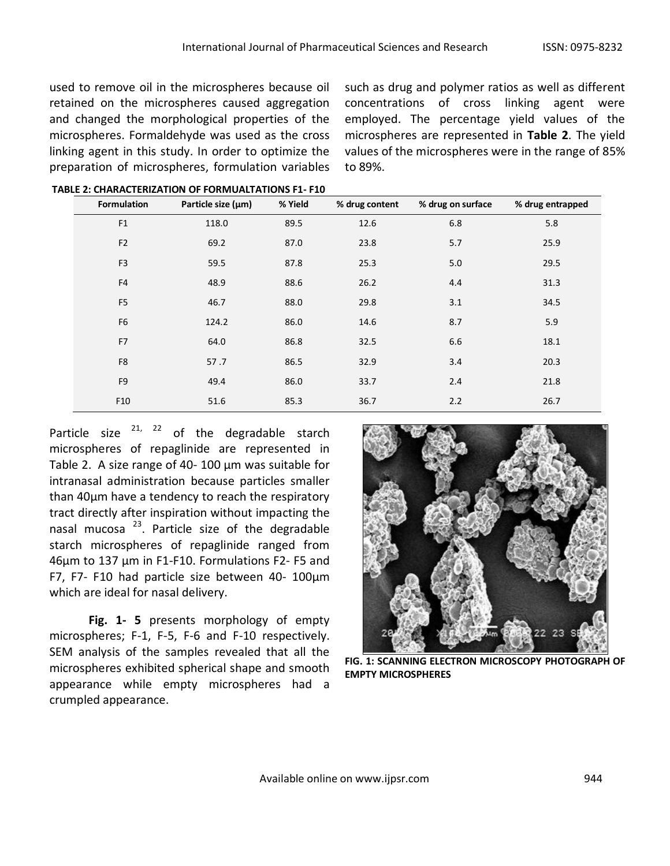used to remove oil in the microspheres because oil retained on the microspheres caused aggregation and changed the morphological properties of the microspheres. Formaldehyde was used as the cross linking agent in this study. In order to optimize the preparation of microspheres, formulation variables

such as drug and polymer ratios as well as different concentrations of cross linking agent were employed. The percentage yield values of the microspheres are represented in **Table 2**. The yield values of the microspheres were in the range of 85% to 89%.

| <b>Formulation</b> | Particle size (µm) | % Yield | % drug content | % drug on surface | % drug entrapped |
|--------------------|--------------------|---------|----------------|-------------------|------------------|
| F1                 | 118.0              | 89.5    | 12.6           | 6.8               | 5.8              |
| F <sub>2</sub>     | 69.2               | 87.0    | 23.8           | 5.7               | 25.9             |
| F <sub>3</sub>     | 59.5               | 87.8    | 25.3           | 5.0               | 29.5             |
| F <sub>4</sub>     | 48.9               | 88.6    | 26.2           | 4.4               | 31.3             |
| F <sub>5</sub>     | 46.7               | 88.0    | 29.8           | 3.1               | 34.5             |
| F <sub>6</sub>     | 124.2              | 86.0    | 14.6           | 8.7               | 5.9              |
| F7                 | 64.0               | 86.8    | 32.5           | 6.6               | 18.1             |
| F8                 | 57.7               | 86.5    | 32.9           | 3.4               | 20.3             |
| F <sub>9</sub>     | 49.4               | 86.0    | 33.7           | 2.4               | 21.8             |
| F10                | 51.6               | 85.3    | 36.7           | 2.2               | 26.7             |

**TABLE 2: CHARACTERIZATION OF FORMUALTATIONS F1- F10**

Particle size  $21$ ,  $22$  of the degradable starch microspheres of repaglinide are represented in Table 2. A size range of 40- 100 µm was suitable for intranasal administration because particles smaller than 40µm have a tendency to reach the respiratory tract directly after inspiration without impacting the nasal mucosa  $^{23}$ . Particle size of the degradable starch microspheres of repaglinide ranged from 46µm to 137 µm in F1-F10. Formulations F2- F5 and F7, F7- F10 had particle size between 40- 100µm which are ideal for nasal delivery.

**Fig. 1- 5** presents morphology of empty microspheres; F-1, F-5, F-6 and F-10 respectively. SEM analysis of the samples revealed that all the microspheres exhibited spherical shape and smooth appearance while empty microspheres had a crumpled appearance.



**FIG. 1: SCANNING ELECTRON MICROSCOPY PHOTOGRAPH OF EMPTY MICROSPHERES**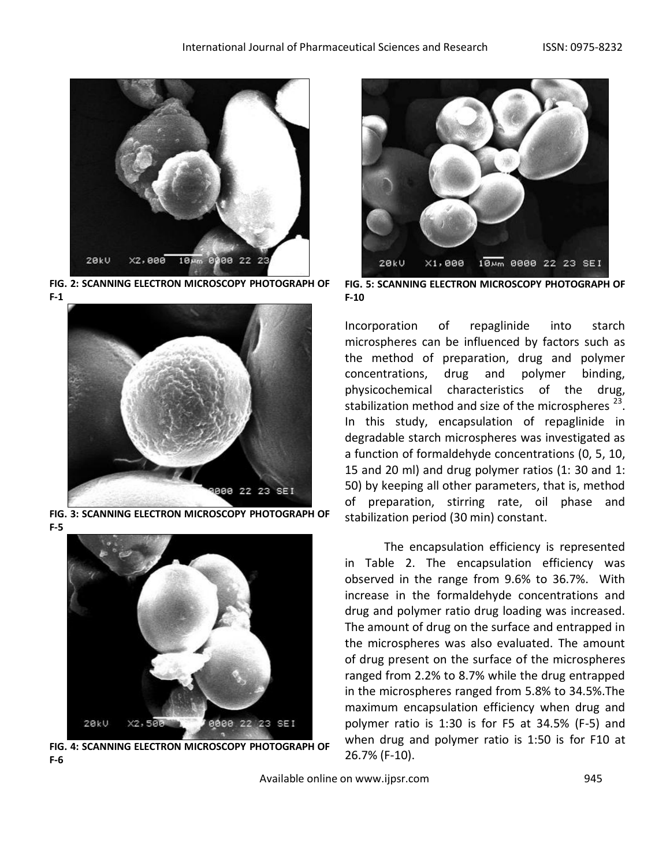

**FIG. 2: SCANNING ELECTRON MICROSCOPY PHOTOGRAPH OF F-1**



**FIG. 3: SCANNING ELECTRON MICROSCOPY PHOTOGRAPH OF F-5**



**FIG. 4: SCANNING ELECTRON MICROSCOPY PHOTOGRAPH OF F-6**



**FIG. 5: SCANNING ELECTRON MICROSCOPY PHOTOGRAPH OF F-10**

Incorporation of repaglinide into starch microspheres can be influenced by factors such as the method of preparation, drug and polymer concentrations, drug and polymer binding, physicochemical characteristics of the drug, stabilization method and size of the microspheres  $^{23}$ . In this study, encapsulation of repaglinide in degradable starch microspheres was investigated as a function of formaldehyde concentrations (0, 5, 10, 15 and 20 ml) and drug polymer ratios (1: 30 and 1: 50) by keeping all other parameters, that is, method of preparation, stirring rate, oil phase and stabilization period (30 min) constant.

The encapsulation efficiency is represented in Table 2. The encapsulation efficiency was observed in the range from 9.6% to 36.7%. With increase in the formaldehyde concentrations and drug and polymer ratio drug loading was increased. The amount of drug on the surface and entrapped in the microspheres was also evaluated. The amount of drug present on the surface of the microspheres ranged from 2.2% to 8.7% while the drug entrapped in the microspheres ranged from 5.8% to 34.5%.The maximum encapsulation efficiency when drug and polymer ratio is 1:30 is for F5 at 34.5% (F-5) and when drug and polymer ratio is 1:50 is for F10 at 26.7% (F-10).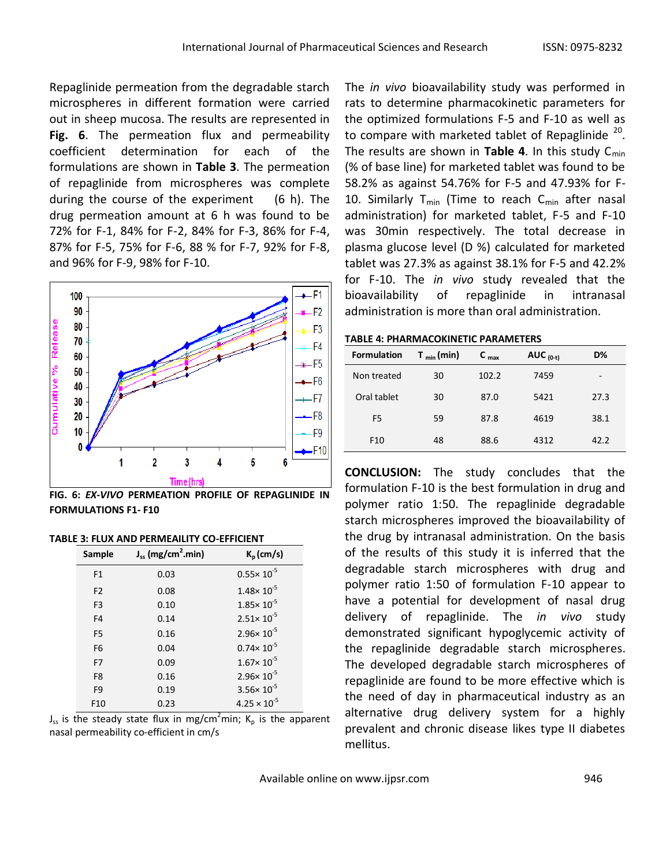Repaglinide permeation from the degradable starch microspheres in different formation were carried out in sheep mucosa. The results are represented in **Fig. 6**. The permeation flux and permeability coefficient determination for each of the formulations are shown in **Table 3**. The permeation of repaglinide from microspheres was complete during the course of the experiment (6 h). The drug permeation amount at 6 h was found to be 72% for F-1, 84% for F-2, 84% for F-3, 86% for F-4, 87% for F-5, 75% for F-6, 88 % for F-7, 92% for F-8, and 96% for F-9, 98% for F-10.



**FIG. 6:** *EX-VIVO* **PERMEATION PROFILE OF REPAGLINIDE IN FORMULATIONS F1- F10**

|  |  |  |  |  |  |  |  | <b>TABLE 3: FLUX AND PERMEAILITY CO-EFFICIENT</b> |  |
|--|--|--|--|--|--|--|--|---------------------------------------------------|--|
|--|--|--|--|--|--|--|--|---------------------------------------------------|--|

| Sample          | $J_{ss}$ (mg/cm <sup>2</sup> .min) | $K_p$ (cm/s)          |
|-----------------|------------------------------------|-----------------------|
| F1              | 0.03                               | $0.55 \times 10^{-5}$ |
| F <sub>2</sub>  | 0.08                               | $1.48 \times 10^{-5}$ |
| F <sub>3</sub>  | 0.10                               | $1.85 \times 10^{-5}$ |
| F4              | 0.14                               | $2.51 \times 10^{-5}$ |
| F <sub>5</sub>  | 0.16                               | $2.96 \times 10^{-5}$ |
| F <sub>6</sub>  | 0.04                               | $0.74 \times 10^{-5}$ |
| F7              | 0.09                               | $1.67 \times 10^{-5}$ |
| F <sub>8</sub>  | 0.16                               | $2.96 \times 10^{-5}$ |
| F <sub>9</sub>  | 0.19                               | $3.56 \times 10^{-5}$ |
| F <sub>10</sub> | 0.23                               | $4.25 \times 10^{-5}$ |

 $J_{ss}$  is the steady state flux in mg/cm<sup>2</sup>min; K<sub>p</sub> is the apparent nasal permeability co-efficient in cm/s

The *in vivo* bioavailability study was performed in rats to determine pharmacokinetic parameters for the optimized formulations F-5 and F-10 as well as to compare with marketed tablet of Repaglinide  $^{20}$ . The results are shown in **Table 4**. In this study  $C_{\text{min}}$ (% of base line) for marketed tablet was found to be 58.2% as against 54.76% for F-5 and 47.93% for F-10. Similarly  $T_{min}$  (Time to reach  $C_{min}$  after nasal administration) for marketed tablet, F-5 and F-10 was 30min respectively. The total decrease in plasma glucose level (D %) calculated for marketed tablet was 27.3% as against 38.1% for F-5 and 42.2% for F-10. The *in vivo* study revealed that the bioavailability of repaglinide in intranasal administration is more than oral administration.

### **TABLE 4: PHARMACOKINETIC PARAMETERS**

| <b>Formulation</b> | $T_{min}(min)$ | $C_{\text{max}}$ | AUC $(0-t)$ | D%   |
|--------------------|----------------|------------------|-------------|------|
| Non treated        | 30             | 102.2            | 7459        |      |
| Oral tablet        | 30             | 87.0             | 5421        | 27.3 |
| F <sub>5</sub>     | 59             | 87.8             | 4619        | 38.1 |
| F <sub>10</sub>    | 48             | 88.6             | 4312        | 42.2 |

**CONCLUSION:** The study concludes that the formulation F-10 is the best formulation in drug and polymer ratio 1:50. The repaglinide degradable starch microspheres improved the bioavailability of the drug by intranasal administration. On the basis of the results of this study it is inferred that the degradable starch microspheres with drug and polymer ratio 1:50 of formulation F-10 appear to have a potential for development of nasal drug delivery of repaglinide. The *in vivo* study demonstrated significant hypoglycemic activity of the repaglinide degradable starch microspheres. The developed degradable starch microspheres of repaglinide are found to be more effective which is the need of day in pharmaceutical industry as an alternative drug delivery system for a highly prevalent and chronic disease likes type II diabetes mellitus.